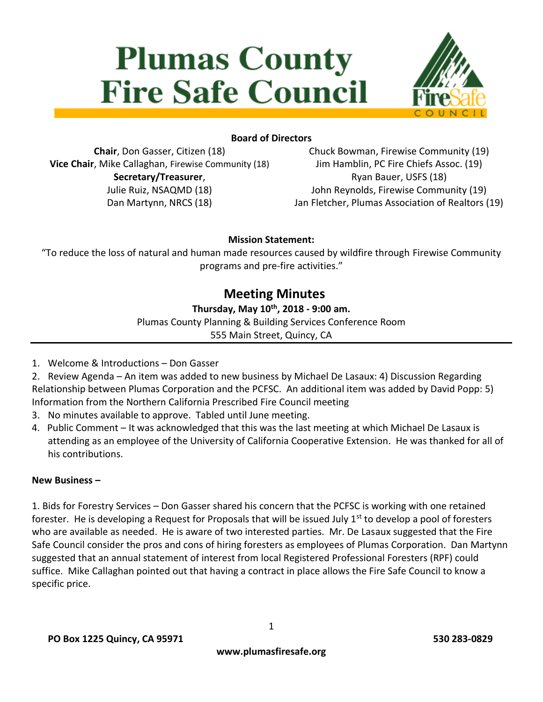# **Plumas County Fire Safe Council**



### **Board of Directors**

**Chair**, Don Gasser, Citizen (18) **Vice Chair**, Mike Callaghan, Firewise Community (18) **Secretary/Treasurer**, Julie Ruiz, NSAQMD (18) Dan Martynn, NRCS (18)

Chuck Bowman, Firewise Community (19) Jim Hamblin, PC Fire Chiefs Assoc. (19) Ryan Bauer, USFS (18) John Reynolds, Firewise Community (19) Jan Fletcher, Plumas Association of Realtors (19)

#### **Mission Statement:**

"To reduce the loss of natural and human made resources caused by wildfire through Firewise Community programs and pre-fire activities."

# **Meeting Minutes**

#### **Thursday, May 10th, 2018 - 9:00 am.**

Plumas County Planning & Building Services Conference Room

555 Main Street, Quincy, CA

1. Welcome & Introductions – Don Gasser

2. Review Agenda – An item was added to new business by Michael De Lasaux: 4) Discussion Regarding Relationship between Plumas Corporation and the PCFSC. An additional item was added by David Popp: 5) Information from the Northern California Prescribed Fire Council meeting

- 3. No minutes available to approve. Tabled until June meeting.
- 4. Public Comment It was acknowledged that this was the last meeting at which Michael De Lasaux is attending as an employee of the University of California Cooperative Extension. He was thanked for all of his contributions.

#### **New Business –**

1. Bids for Forestry Services – Don Gasser shared his concern that the PCFSC is working with one retained forester. He is developing a Request for Proposals that will be issued July  $1<sup>st</sup>$  to develop a pool of foresters who are available as needed. He is aware of two interested parties. Mr. De Lasaux suggested that the Fire Safe Council consider the pros and cons of hiring foresters as employees of Plumas Corporation. Dan Martynn suggested that an annual statement of interest from local Registered Professional Foresters (RPF) could suffice. Mike Callaghan pointed out that having a contract in place allows the Fire Safe Council to know a specific price.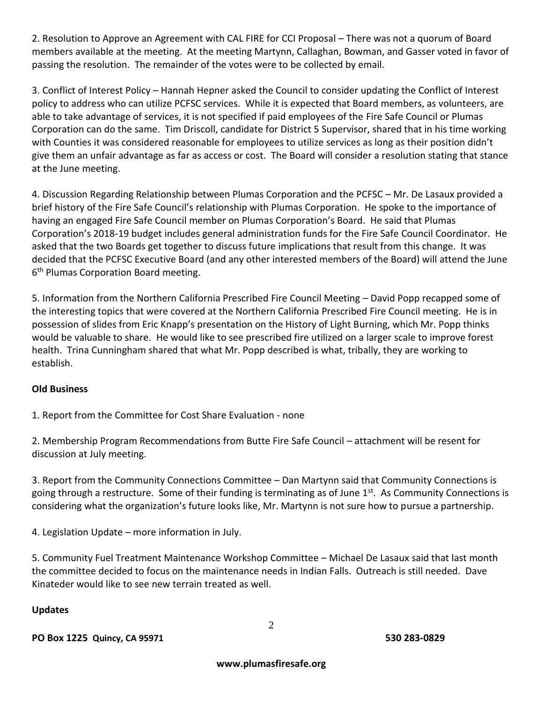2. Resolution to Approve an Agreement with CAL FIRE for CCI Proposal – There was not a quorum of Board members available at the meeting. At the meeting Martynn, Callaghan, Bowman, and Gasser voted in favor of passing the resolution. The remainder of the votes were to be collected by email.

3. Conflict of Interest Policy – Hannah Hepner asked the Council to consider updating the Conflict of Interest policy to address who can utilize PCFSC services. While it is expected that Board members, as volunteers, are able to take advantage of services, it is not specified if paid employees of the Fire Safe Council or Plumas Corporation can do the same. Tim Driscoll, candidate for District 5 Supervisor, shared that in his time working with Counties it was considered reasonable for employees to utilize services as long as their position didn't give them an unfair advantage as far as access or cost. The Board will consider a resolution stating that stance at the June meeting.

4. Discussion Regarding Relationship between Plumas Corporation and the PCFSC – Mr. De Lasaux provided a brief history of the Fire Safe Council's relationship with Plumas Corporation. He spoke to the importance of having an engaged Fire Safe Council member on Plumas Corporation's Board. He said that Plumas Corporation's 2018-19 budget includes general administration funds for the Fire Safe Council Coordinator. He asked that the two Boards get together to discuss future implications that result from this change. It was decided that the PCFSC Executive Board (and any other interested members of the Board) will attend the June 6<sup>th</sup> Plumas Corporation Board meeting.

5. Information from the Northern California Prescribed Fire Council Meeting – David Popp recapped some of the interesting topics that were covered at the Northern California Prescribed Fire Council meeting. He is in possession of slides from Eric Knapp's presentation on the History of Light Burning, which Mr. Popp thinks would be valuable to share. He would like to see prescribed fire utilized on a larger scale to improve forest health. Trina Cunningham shared that what Mr. Popp described is what, tribally, they are working to establish.

# **Old Business**

1. Report from the Committee for Cost Share Evaluation - none

2. Membership Program Recommendations from Butte Fire Safe Council – attachment will be resent for discussion at July meeting.

3. Report from the Community Connections Committee – Dan Martynn said that Community Connections is going through a restructure. Some of their funding is terminating as of June 1<sup>st</sup>. As Community Connections is considering what the organization's future looks like, Mr. Martynn is not sure how to pursue a partnership.

4. Legislation Update – more information in July.

5. Community Fuel Treatment Maintenance Workshop Committee – Michael De Lasaux said that last month the committee decided to focus on the maintenance needs in Indian Falls. Outreach is still needed. Dave Kinateder would like to see new terrain treated as well.

# **Updates**

**PO Box 1225 Quincy, CA 95971 530 283-0829**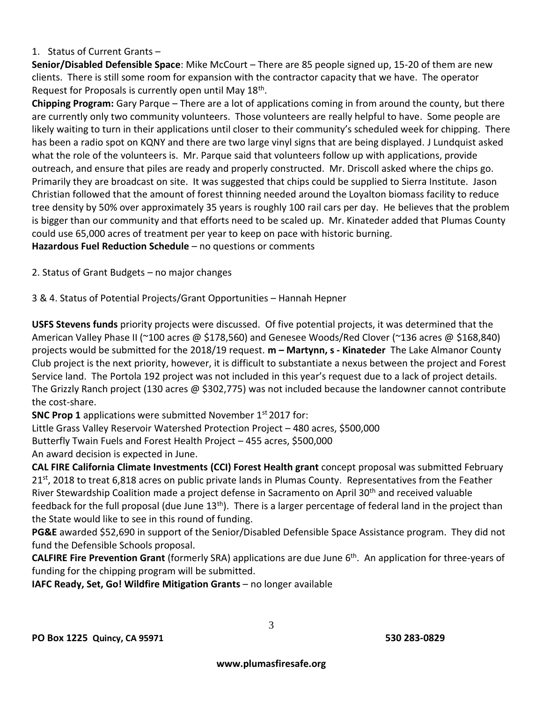#### 1. Status of Current Grants –

**Senior/Disabled Defensible Space**: Mike McCourt – There are 85 people signed up, 15-20 of them are new clients. There is still some room for expansion with the contractor capacity that we have. The operator Request for Proposals is currently open until May 18<sup>th</sup>.

**Chipping Program:** Gary Parque – There are a lot of applications coming in from around the county, but there are currently only two community volunteers. Those volunteers are really helpful to have. Some people are likely waiting to turn in their applications until closer to their community's scheduled week for chipping. There has been a radio spot on KQNY and there are two large vinyl signs that are being displayed. J Lundquist asked what the role of the volunteers is. Mr. Parque said that volunteers follow up with applications, provide outreach, and ensure that piles are ready and properly constructed. Mr. Driscoll asked where the chips go. Primarily they are broadcast on site. It was suggested that chips could be supplied to Sierra Institute. Jason Christian followed that the amount of forest thinning needed around the Loyalton biomass facility to reduce tree density by 50% over approximately 35 years is roughly 100 rail cars per day. He believes that the problem is bigger than our community and that efforts need to be scaled up. Mr. Kinateder added that Plumas County could use 65,000 acres of treatment per year to keep on pace with historic burning. **Hazardous Fuel Reduction Schedule** – no questions or comments

2. Status of Grant Budgets – no major changes

3 & 4. Status of Potential Projects/Grant Opportunities – Hannah Hepner

**USFS Stevens funds** priority projects were discussed. Of five potential projects, it was determined that the American Valley Phase II (~100 acres @ \$178,560) and Genesee Woods/Red Clover (~136 acres @ \$168,840) projects would be submitted for the 2018/19 request. **m – Martynn, s - Kinateder** The Lake Almanor County Club project is the next priority, however, it is difficult to substantiate a nexus between the project and Forest Service land. The Portola 192 project was not included in this year's request due to a lack of project details. The Grizzly Ranch project (130 acres @ \$302,775) was not included because the landowner cannot contribute the cost-share.

**SNC Prop 1** applications were submitted November 1<sup>st</sup> 2017 for:

Little Grass Valley Reservoir Watershed Protection Project – 480 acres, \$500,000

Butterfly Twain Fuels and Forest Health Project – 455 acres, \$500,000

An award decision is expected in June.

**CAL FIRE California Climate Investments (CCI) Forest Health grant** concept proposal was submitted February 21st , 2018 to treat 6,818 acres on public private lands in Plumas County.Representatives from the Feather River Stewardship Coalition made a project defense in Sacramento on April 30<sup>th</sup> and received valuable feedback for the full proposal (due June  $13<sup>th</sup>$ ). There is a larger percentage of federal land in the project than the State would like to see in this round of funding.

**PG&E** awarded \$52,690 in support of the Senior/Disabled Defensible Space Assistance program. They did not fund the Defensible Schools proposal.

**CALFIRE Fire Prevention Grant** (formerly SRA) applications are due June 6th. An application for three-years of funding for the chipping program will be submitted.

**IAFC Ready, Set, Go! Wildfire Mitigation Grants** – no longer available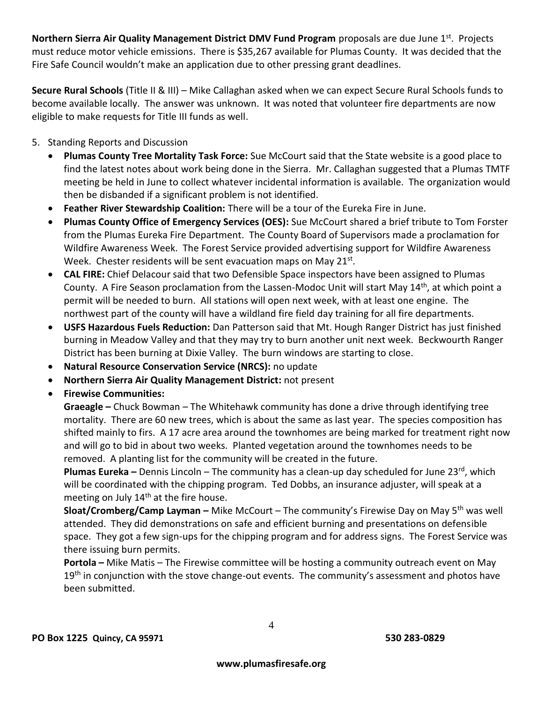**Northern Sierra Air Quality Management District DMV Fund Program** proposals are due June 1<sup>st</sup>. Projects must reduce motor vehicle emissions. There is \$35,267 available for Plumas County. It was decided that the Fire Safe Council wouldn't make an application due to other pressing grant deadlines.

**Secure Rural Schools** (Title II & III) – Mike Callaghan asked when we can expect Secure Rural Schools funds to become available locally. The answer was unknown. It was noted that volunteer fire departments are now eligible to make requests for Title III funds as well.

- 5. Standing Reports and Discussion
	- **Plumas County Tree Mortality Task Force:** Sue McCourt said that the State website is a good place to find the latest notes about work being done in the Sierra. Mr. Callaghan suggested that a Plumas TMTF meeting be held in June to collect whatever incidental information is available. The organization would then be disbanded if a significant problem is not identified.
	- **Feather River Stewardship Coalition:** There will be a tour of the Eureka Fire in June.
	- **Plumas County Office of Emergency Services (OES):** Sue McCourt shared a brief tribute to Tom Forster from the Plumas Eureka Fire Department. The County Board of Supervisors made a proclamation for Wildfire Awareness Week. The Forest Service provided advertising support for Wildfire Awareness Week. Chester residents will be sent evacuation maps on May 21<sup>st</sup>.
	- **CAL FIRE:** Chief Delacour said that two Defensible Space inspectors have been assigned to Plumas County. A Fire Season proclamation from the Lassen-Modoc Unit will start May 14<sup>th</sup>, at which point a permit will be needed to burn. All stations will open next week, with at least one engine. The northwest part of the county will have a wildland fire field day training for all fire departments.
	- **USFS Hazardous Fuels Reduction:** Dan Patterson said that Mt. Hough Ranger District has just finished burning in Meadow Valley and that they may try to burn another unit next week. Beckwourth Ranger District has been burning at Dixie Valley. The burn windows are starting to close.
	- **Natural Resource Conservation Service (NRCS):** no update
	- **Northern Sierra Air Quality Management District:** not present
	- **Firewise Communities:**

**Graeagle –** Chuck Bowman – The Whitehawk community has done a drive through identifying tree mortality. There are 60 new trees, which is about the same as last year. The species composition has shifted mainly to firs. A 17 acre area around the townhomes are being marked for treatment right now and will go to bid in about two weeks. Planted vegetation around the townhomes needs to be removed. A planting list for the community will be created in the future.

**Plumas Eureka** – Dennis Lincoln – The community has a clean-up day scheduled for June 23<sup>rd</sup>, which will be coordinated with the chipping program. Ted Dobbs, an insurance adjuster, will speak at a meeting on July 14<sup>th</sup> at the fire house.

**Sloat/Cromberg/Camp Layman –** Mike McCourt – The community's Firewise Day on May 5th was well attended. They did demonstrations on safe and efficient burning and presentations on defensible space. They got a few sign-ups for the chipping program and for address signs. The Forest Service was there issuing burn permits.

**Portola –** Mike Matis – The Firewise committee will be hosting a community outreach event on May  $19<sup>th</sup>$  in conjunction with the stove change-out events. The community's assessment and photos have been submitted.